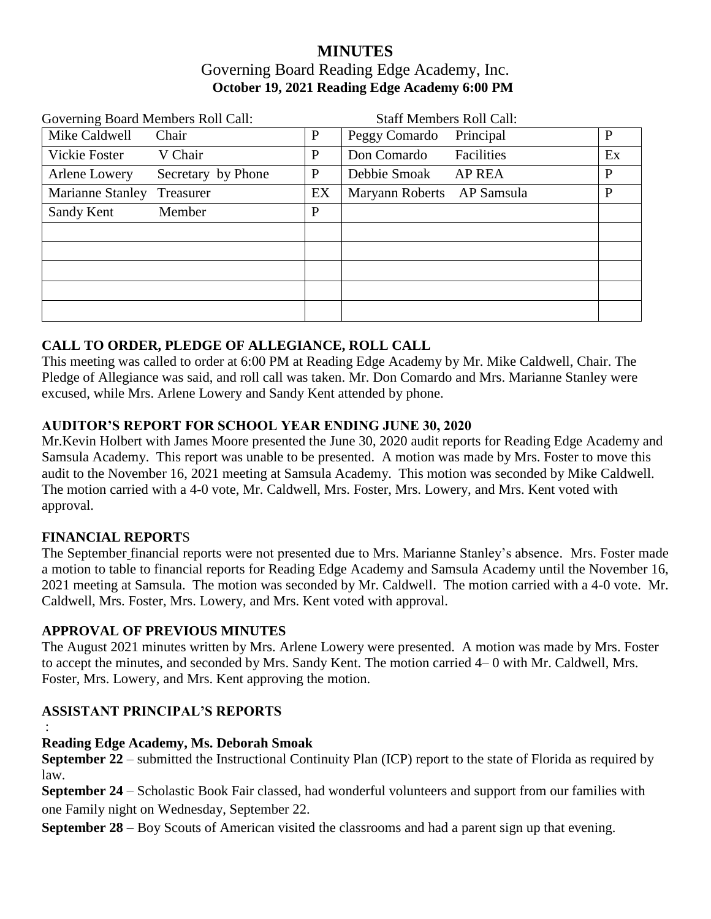# **MINUTES** Governing Board Reading Edge Academy, Inc. **October 19, 2021 Reading Edge Academy 6:00 PM**

| Governing Board Members Roll Call: |                    |              | <b>Staff Members Roll Call:</b> |               |              |
|------------------------------------|--------------------|--------------|---------------------------------|---------------|--------------|
| Mike Caldwell                      | Chair              | P            | Peggy Comardo                   | Principal     | P            |
| Vickie Foster                      | V Chair            | P            | Don Comardo                     | Facilities    | Ex           |
| Arlene Lowery                      | Secretary by Phone | P            | Debbie Smoak                    | <b>AP REA</b> | $\mathbf{P}$ |
| <b>Marianne Stanley</b>            | Treasurer          | EX           | Maryann Roberts AP Samsula      |               | P            |
| Sandy Kent                         | Member             | $\mathbf{P}$ |                                 |               |              |
|                                    |                    |              |                                 |               |              |
|                                    |                    |              |                                 |               |              |
|                                    |                    |              |                                 |               |              |
|                                    |                    |              |                                 |               |              |
|                                    |                    |              |                                 |               |              |

## **CALL TO ORDER, PLEDGE OF ALLEGIANCE, ROLL CALL**

This meeting was called to order at 6:00 PM at Reading Edge Academy by Mr. Mike Caldwell, Chair. The Pledge of Allegiance was said, and roll call was taken. Mr. Don Comardo and Mrs. Marianne Stanley were excused, while Mrs. Arlene Lowery and Sandy Kent attended by phone.

### **AUDITOR'S REPORT FOR SCHOOL YEAR ENDING JUNE 30, 2020**

Mr.Kevin Holbert with James Moore presented the June 30, 2020 audit reports for Reading Edge Academy and Samsula Academy. This report was unable to be presented. A motion was made by Mrs. Foster to move this audit to the November 16, 2021 meeting at Samsula Academy. This motion was seconded by Mike Caldwell. The motion carried with a 4-0 vote, Mr. Caldwell, Mrs. Foster, Mrs. Lowery, and Mrs. Kent voted with approval.

### **FINANCIAL REPORT**S

The September financial reports were not presented due to Mrs. Marianne Stanley's absence. Mrs. Foster made a motion to table to financial reports for Reading Edge Academy and Samsula Academy until the November 16, 2021 meeting at Samsula. The motion was seconded by Mr. Caldwell. The motion carried with a 4-0 vote. Mr. Caldwell, Mrs. Foster, Mrs. Lowery, and Mrs. Kent voted with approval.

### **APPROVAL OF PREVIOUS MINUTES**

The August 2021 minutes written by Mrs. Arlene Lowery were presented. A motion was made by Mrs. Foster to accept the minutes, and seconded by Mrs. Sandy Kent. The motion carried 4– 0 with Mr. Caldwell, Mrs. Foster, Mrs. Lowery, and Mrs. Kent approving the motion.

## **ASSISTANT PRINCIPAL'S REPORTS**

:

### **Reading Edge Academy, Ms. Deborah Smoak**

**September 22** – submitted the Instructional Continuity Plan (ICP) report to the state of Florida as required by law.

**September 24** – Scholastic Book Fair classed, had wonderful volunteers and support from our families with one Family night on Wednesday, September 22.

**September 28** – Boy Scouts of American visited the classrooms and had a parent sign up that evening.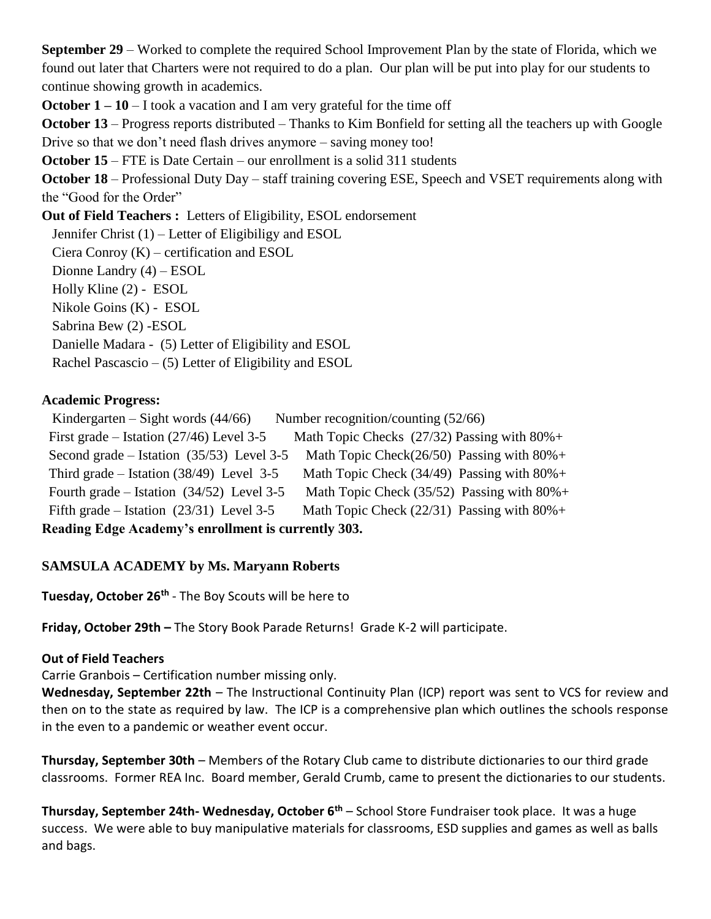**September 29** – Worked to complete the required School Improvement Plan by the state of Florida, which we found out later that Charters were not required to do a plan. Our plan will be put into play for our students to continue showing growth in academics.

**October 1 – 10** – I took a vacation and I am very grateful for the time off

**October 13** – Progress reports distributed – Thanks to Kim Bonfield for setting all the teachers up with Google Drive so that we don't need flash drives anymore – saving money too!

**October 15** – FTE is Date Certain – our enrollment is a solid 311 students

**October 18** – Professional Duty Day – staff training covering ESE, Speech and VSET requirements along with the "Good for the Order"

**Out of Field Teachers :** Letters of Eligibility, ESOL endorsement

Jennifer Christ (1) – Letter of Eligibiligy and ESOL

Ciera Conroy (K) – certification and ESOL

Dionne Landry (4) – ESOL

Holly Kline (2) - ESOL

Nikole Goins (K) - ESOL

Sabrina Bew (2) -ESOL

Danielle Madara - (5) Letter of Eligibility and ESOL

Rachel Pascascio – (5) Letter of Eligibility and ESOL

### **Academic Progress:**

Kindergarten – Sight words  $(44/66)$  Number recognition/counting  $(52/66)$ First grade – Istation (27/46) Level 3-5 Math Topic Checks (27/32) Passing with  $80\%$ + Second grade – Istation (35/53) Level 3-5 Math Topic Check(26/50) Passing with  $80\%$ + Third grade – Istation (38/49) Level 3-5 Math Topic Check (34/49) Passing with  $80\%$ + Fourth grade – Istation (34/52) Level 3-5 Math Topic Check (35/52) Passing with  $80\%$ + Fifth grade – Istation (23/31) Level 3-5 Math Topic Check (22/31) Passing with  $80\%$ + **Reading Edge Academy's enrollment is currently 303.**

## **SAMSULA ACADEMY by Ms. Maryann Roberts**

**Tuesday, October 26th** - The Boy Scouts will be here to

**Friday, October 29th –** The Story Book Parade Returns! Grade K-2 will participate.

### **Out of Field Teachers**

Carrie Granbois – Certification number missing only.

**Wednesday, September 22th** – The Instructional Continuity Plan (ICP) report was sent to VCS for review and then on to the state as required by law. The ICP is a comprehensive plan which outlines the schools response in the even to a pandemic or weather event occur.

**Thursday, September 30th** – Members of the Rotary Club came to distribute dictionaries to our third grade classrooms. Former REA Inc. Board member, Gerald Crumb, came to present the dictionaries to our students.

**Thursday, September 24th- Wednesday, October 6th** – School Store Fundraiser took place. It was a huge success. We were able to buy manipulative materials for classrooms, ESD supplies and games as well as balls and bags.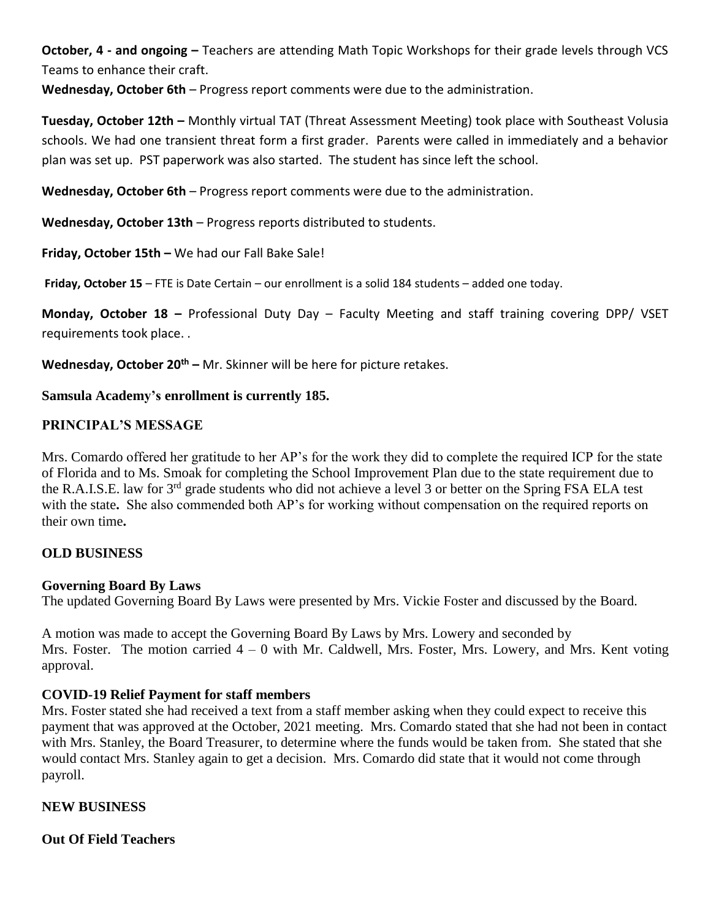**October, 4 - and ongoing –** Teachers are attending Math Topic Workshops for their grade levels through VCS Teams to enhance their craft.

**Wednesday, October 6th** – Progress report comments were due to the administration.

**Tuesday, October 12th –** Monthly virtual TAT (Threat Assessment Meeting) took place with Southeast Volusia schools. We had one transient threat form a first grader. Parents were called in immediately and a behavior plan was set up. PST paperwork was also started. The student has since left the school.

**Wednesday, October 6th** – Progress report comments were due to the administration.

**Wednesday, October 13th** – Progress reports distributed to students.

**Friday, October 15th –** We had our Fall Bake Sale!

**Friday, October 15** – FTE is Date Certain – our enrollment is a solid 184 students – added one today.

**Monday, October 18 –** Professional Duty Day – Faculty Meeting and staff training covering DPP/ VSET requirements took place. .

**Wednesday, October 20th –** Mr. Skinner will be here for picture retakes.

#### **Samsula Academy's enrollment is currently 185.**

### **PRINCIPAL'S MESSAGE**

Mrs. Comardo offered her gratitude to her AP's for the work they did to complete the required ICP for the state of Florida and to Ms. Smoak for completing the School Improvement Plan due to the state requirement due to the R.A.I.S.E. law for 3<sup>rd</sup> grade students who did not achieve a level 3 or better on the Spring FSA ELA test with the state**.** She also commended both AP's for working without compensation on the required reports on their own time**.**

### **OLD BUSINESS**

### **Governing Board By Laws**

The updated Governing Board By Laws were presented by Mrs. Vickie Foster and discussed by the Board.

A motion was made to accept the Governing Board By Laws by Mrs. Lowery and seconded by Mrs. Foster. The motion carried  $4 - 0$  with Mr. Caldwell, Mrs. Foster, Mrs. Lowery, and Mrs. Kent voting approval.

### **COVID-19 Relief Payment for staff members**

Mrs. Foster stated she had received a text from a staff member asking when they could expect to receive this payment that was approved at the October, 2021 meeting. Mrs. Comardo stated that she had not been in contact with Mrs. Stanley, the Board Treasurer, to determine where the funds would be taken from. She stated that she would contact Mrs. Stanley again to get a decision. Mrs. Comardo did state that it would not come through payroll.

### **NEW BUSINESS**

### **Out Of Field Teachers**